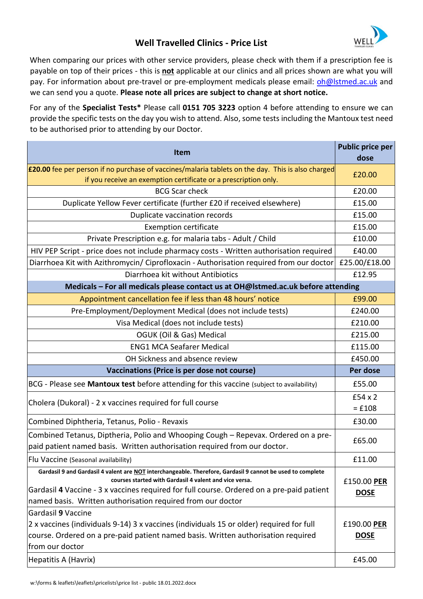## **Well Travelled Clinics - Price List**



When comparing our prices with other service providers, please check with them if a prescription fee is payable on top of their prices - this is **not** applicable at our clinics and all prices shown are what you will pay. For information about pre-travel or pre-employment medicals please email: oh@lstmed.ac.uk and we can send you a quote. **Please note all prices are subject to change at short notice.**

For any of the **Specialist Tests\*** Please call **0151 705 3223** option 4 before attending to ensure we can provide the specific tests on the day you wish to attend. Also, some tests including the Mantoux test need to be authorised prior to attending by our Doctor.

| <b>Item</b>                                                                                                                                                                                                                                                                                                                      | <b>Public price per</b>    |  |
|----------------------------------------------------------------------------------------------------------------------------------------------------------------------------------------------------------------------------------------------------------------------------------------------------------------------------------|----------------------------|--|
|                                                                                                                                                                                                                                                                                                                                  | dose                       |  |
| <b>£20.00</b> fee per person if no purchase of vaccines/malaria tablets on the day. This is also charged<br>if you receive an exemption certificate or a prescription only.                                                                                                                                                      | £20.00                     |  |
| <b>BCG Scar check</b>                                                                                                                                                                                                                                                                                                            | £20.00                     |  |
| Duplicate Yellow Fever certificate (further £20 if received elsewhere)                                                                                                                                                                                                                                                           | £15.00                     |  |
| Duplicate vaccination records                                                                                                                                                                                                                                                                                                    | £15.00                     |  |
| <b>Exemption certificate</b>                                                                                                                                                                                                                                                                                                     | £15.00                     |  |
| Private Prescription e.g. for malaria tabs - Adult / Child                                                                                                                                                                                                                                                                       | £10.00                     |  |
| HIV PEP Script - price does not include pharmacy costs - Written authorisation required                                                                                                                                                                                                                                          | £40.00                     |  |
| Diarrhoea Kit with Azithromycin/ Ciprofloxacin - Authorisation required from our doctor                                                                                                                                                                                                                                          | £25.00/£18.00              |  |
| Diarrhoea kit without Antibiotics                                                                                                                                                                                                                                                                                                | £12.95                     |  |
| Medicals - For all medicals please contact us at OH@Istmed.ac.uk before attending                                                                                                                                                                                                                                                |                            |  |
| Appointment cancellation fee if less than 48 hours' notice                                                                                                                                                                                                                                                                       | £99.00                     |  |
| Pre-Employment/Deployment Medical (does not include tests)                                                                                                                                                                                                                                                                       | £240.00                    |  |
| Visa Medical (does not include tests)                                                                                                                                                                                                                                                                                            | £210.00                    |  |
| OGUK (Oil & Gas) Medical                                                                                                                                                                                                                                                                                                         | £215.00                    |  |
| <b>ENG1 MCA Seafarer Medical</b>                                                                                                                                                                                                                                                                                                 | £115.00                    |  |
| OH Sickness and absence review                                                                                                                                                                                                                                                                                                   | £450.00                    |  |
| Vaccinations (Price is per dose not course)                                                                                                                                                                                                                                                                                      | Per dose                   |  |
| BCG - Please see Mantoux test before attending for this vaccine (subject to availability)                                                                                                                                                                                                                                        | £55.00                     |  |
| Cholera (Dukoral) - 2 x vaccines required for full course                                                                                                                                                                                                                                                                        | $£54 \times 2$<br>$=$ £108 |  |
| Combined Diphtheria, Tetanus, Polio - Revaxis                                                                                                                                                                                                                                                                                    | £30.00                     |  |
| Combined Tetanus, Diptheria, Polio and Whooping Cough - Repevax. Ordered on a pre-<br>paid patient named basis. Written authorisation required from our doctor.                                                                                                                                                                  | £65.00                     |  |
| Flu Vaccine (Seasonal availability)                                                                                                                                                                                                                                                                                              | £11.00                     |  |
| Gardasil 9 and Gardasil 4 valent are NOT interchangeable. Therefore, Gardasil 9 cannot be used to complete<br>courses started with Gardasil 4 valent and vice versa.<br>Gardasil 4 Vaccine - 3 x vaccines required for full course. Ordered on a pre-paid patient<br>named basis. Written authorisation required from our doctor | £150.00 PER<br><b>DOSE</b> |  |
| Gardasil 9 Vaccine                                                                                                                                                                                                                                                                                                               |                            |  |
| 2 x vaccines (individuals 9-14) 3 x vaccines (individuals 15 or older) required for full<br>course. Ordered on a pre-paid patient named basis. Written authorisation required<br>from our doctor                                                                                                                                 | £190.00 PER<br><b>DOSE</b> |  |
| Hepatitis A (Havrix)                                                                                                                                                                                                                                                                                                             | £45.00                     |  |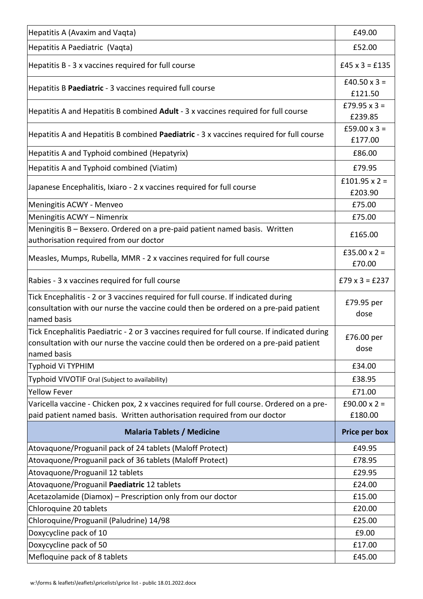| Hepatitis A (Avaxim and Vaqta)                                                                                       | £49.00                    |
|----------------------------------------------------------------------------------------------------------------------|---------------------------|
| Hepatitis A Paediatric (Vaqta)                                                                                       | £52.00                    |
| Hepatitis B - 3 x vaccines required for full course                                                                  | $£45 \times 3 = £135$     |
| Hepatitis B Paediatric - 3 vaccines required full course                                                             | £40.50 $\times$ 3 =       |
|                                                                                                                      | £121.50                   |
| Hepatitis A and Hepatitis B combined Adult - 3 x vaccines required for full course                                   | £79.95 $x$ 3 =            |
|                                                                                                                      | £239.85                   |
| Hepatitis A and Hepatitis B combined Paediatric - 3 x vaccines required for full course                              | £59.00 $x$ 3 =<br>£177.00 |
| Hepatitis A and Typhoid combined (Hepatyrix)                                                                         | £86.00                    |
| Hepatitis A and Typhoid combined (Viatim)                                                                            | £79.95                    |
|                                                                                                                      | £101.95 $\times$ 2 =      |
| Japanese Encephalitis, Ixiaro - 2 x vaccines required for full course                                                | £203.90                   |
| Meningitis ACWY - Menveo                                                                                             | £75.00                    |
| Meningitis ACWY - Nimenrix                                                                                           | £75.00                    |
| Meningitis B - Bexsero. Ordered on a pre-paid patient named basis. Written<br>authorisation required from our doctor | £165.00                   |
|                                                                                                                      | £35.00 $x =$              |
| Measles, Mumps, Rubella, MMR - 2 x vaccines required for full course                                                 | £70.00                    |
| Rabies - 3 x vaccines required for full course                                                                       | $£79 \times 3 = £237$     |
| Tick Encephalitis - 2 or 3 vaccines required for full course. If indicated during                                    | £79.95 per                |
| consultation with our nurse the vaccine could then be ordered on a pre-paid patient<br>named basis                   | dose                      |
| Tick Encephalitis Paediatric - 2 or 3 vaccines required for full course. If indicated during                         | £76.00 per                |
| consultation with our nurse the vaccine could then be ordered on a pre-paid patient<br>named basis                   | dose                      |
| Typhoid Vi TYPHIM                                                                                                    | £34.00                    |
| Typhoid VIVOTIF Oral (Subject to availability)                                                                       | £38.95                    |
| <b>Yellow Fever</b>                                                                                                  | £71.00                    |
| Varicella vaccine - Chicken pox, 2 x vaccines required for full course. Ordered on a pre-                            | £90.00 $x =$              |
| paid patient named basis. Written authorisation required from our doctor                                             | £180.00                   |
| <b>Malaria Tablets / Medicine</b>                                                                                    | Price per box             |
| Atovaquone/Proguanil pack of 24 tablets (Maloff Protect)                                                             | £49.95                    |
| Atovaquone/Proguanil pack of 36 tablets (Maloff Protect)                                                             | £78.95                    |
| Atovaquone/Proguanil 12 tablets                                                                                      | £29.95                    |
| Atovaquone/Proguanil Paediatric 12 tablets                                                                           | £24.00                    |
| Acetazolamide (Diamox) - Prescription only from our doctor                                                           | £15.00                    |
| Chloroquine 20 tablets                                                                                               | £20.00                    |
| Chloroquine/Proguanil (Paludrine) 14/98                                                                              | £25.00                    |
| Doxycycline pack of 10                                                                                               | £9.00                     |
| Doxycycline pack of 50                                                                                               | £17.00                    |
| Mefloquine pack of 8 tablets                                                                                         | £45.00                    |